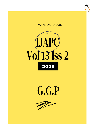





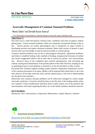

# **Int J Ayu Pharm Chem**

REVIEW ARTICLE www.ijapc.com

**e-ISSN 2350-0204**

# **Ayurvedic Management of Common Neonatal Problems**

Mamta Takhar<sup>1\*</sup>and Shrinidhi Kumar Acharya<sup>2</sup>

1,2P.G Department of Kaumarbhritya, National Institute of Ayurveda, Jaipur, Rajasthan, India

#### **ABSTRACT**

New born care is a skill and requires common sense, confidence and sense of urgency without getting panic. Certain neonatal problems which are commonly encountered during in day to day clinical practice are mostly physiological, due to immaturity of organ /system in developing newborn and require minimum treatment. Mean while anxiety of parents is quite obvious and exact knowledge of same by physician helps to console parents.

Common neonatal problems may be due to physiological immaturity, adjustment problems, and failure to establish feeding, faulty methods of feeding, transplacental hormones of mother and certain exaggerated reflexes and at times due to anxiety by parents, over consciousness also. However many of the complaints gets resolved spontaneously with increasing age without causing much disturbances in the growth pattern of the child. However, keeping an eye on pathological part of such problems is essential as it may be hazardous to baby at times.

Key points like, isolation, hygiene, feeding, aseptic measure, temperature maintenance are few of the common precautions to be taken. Mother will be enquired daily about baby as she is the keen observer of the baby round the clock, and her opinion plays a vital role in understanding any deviation from normalcy.

Meanwhile such common neonatal problems can be effectively managed by certain simple Ayurvedic medicines. Correction should be done in the life style of the feeding mother where ever required. Certain modifications should be done in daily routine care of the newborn and misconceptions and myths regarding the baby care in the family members should be removed.

#### **KEYWORDS**

*Immaturity, Over Consciousness, Temperature Maintenance, Aseptic Measure, Isolation*



Received 25/07/2020 Accepted 26/08/2020 Published 10/09/2020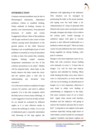

### **INTRODUCTION**

Common neonatal problems may be due to Physiological immaturity, Adjustment problems, Failure to establish feeding, Faulty methods of feeding, Anxiety by parents, over consciousness, Tran placental hormones of mother and certain Exaggerated reflexes. Most of the problems will be gets resolved in due course of time without causing much disturbances in the growth pattern of the child. However keeping a eye on pathological part of such problems is essential as it may be hazardous to baby at time. Key points like, isolation, hygiene, feeding, aseptic measure, temperature maintenance are few of the common precautions to be taken<sup>1</sup>. Mother will be enquired daily about baby as she keenly observe the baby round the clock, and her opinion plays a vital role in understanding any deviation from normalcy<sup>2</sup>.

Cry is the most common complaint of major concern for parents, and need to address properly. Cry is the only symptom which the baby uses to convey many sufferings. It is also suggestive of arrival of baby at birth. So cry should be evaluated by different angles as it is only effective media to convey the suffering to a baby. Cry in case of abdominal pain is typically intermittent with throwing of the legs against the abdomen with tightening of the abdomen. This situation can be managed by positioning the baby in the prone position, and taping over the back helps a lot. Administration of 1 drop of *Ajamoda Arka* diluted with warm water can be given orally through a dropper also helps a lot to relieve the colicky  $\text{pain}^3$ . Gentle massage at umbilical region with ghee in circular passion is also followed traditionally as a method to relieve the pain<sup>4</sup>. There are many causes for pain abdomen but most common being engulfed air during feeding, colic pain is common.

Hunger is one more important cause of cry. Baby fed with exclusive breast feeding cries intensely in every 2- 3 hours due to hunger. Cry will be loud and intense, vigorous and subsided by feeding. Mean while feeding the baby every time when it cries is a bad practice, as every time baby will not cry for feeding. So identification of hunger cry is very important, otherwise it may leads to either over feeding or underfeeding or indigestion to the baby. One more common cause of cry is insect bite<sup>5</sup> . Apply Ghee mixed with *Haridra, Kumkum and the Sphatica* will going to remove the irritation and pain due to insect bite<sup>6</sup>. Crying due to wet napkin is also quite common especially during night hours or when babies carried outside by wearing the napkins. Synthetic and plastic napkins are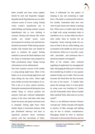

better avoided and clean cotton napkins should be used and frequently changed. Hypothermia & Hyperthermia are two other common causes of excess crying. During winter month's hypothermia due to underclothing and during summer seasons hyperthermia due to over clothing is common. During cold climates like winter months one should ensure warm environment for newborn care and heat loss should be prevented. While during summer months with extreme heat care should be given to maintain the proper feeding methods to prevent the fluid imbalance and few drops of medicated water prepared by Daha *prashamana drugs* <sup>7</sup>(drugs having cold potency) can be administered.

One more common concern of the mother is crying during night hours. Most of the babies cry in excess during night hours and sleep during the day hours. Silent night hours further increases the loudness of cry. This is due to in utero- pattern newborn. During the antenatal period during day time mother being in vertical position the amniotic fluid gets collected independent portion of the uteru sand baby sinks deep inside the uterus and spend maximum time in sleeping<sup>8</sup>. During night hours when mother sleeps in horizontal position, fluid gets distributed sideways and fetus in superficial positions shows maximum activity with free movements of limbs. Fetus is habituated for this pattern of sleeping in day and awakening in night hours. This habit is continued after birth for few months. Sometimes baby also cries when he gets bored and nobody is picking him. When nurse or mother takes the baby on thigh with swing movement leads to subsidence of cry. At time child cries due to otitis media when he touches the ear frequently. Water entering inside the ear, entry of feed to the ear while feeding, may accumulate in the middle ear and can cause the infection .When cry is very dull , weak, shill , intractable , and continuous then it should be properly investigated<sup>9</sup>.

Most of the mothers often confused regarding oil application for massaging the baby. Massaging the baby prior to bath over the extended leg of mother is very popular method of baby care in India. This not only increases the blood flow but also increases the tone of the muscle. A healthy baby enjoys the massage when it is done gently by using warm non irritating oil. Certain oils like *Yastimadhu Talia/ Ashwa Gandha Bala Lakshadi Talia, Bala taila* etc are best suited $10$ .

There is a lot difference between Western concepts and - Indian concepts with regards to practice of baby massage and bathing may be due to climatic considerations. Massaging should be done in *Anuloma*  (Upwards to downwards) direction and not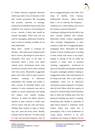

in *Viloma* direction (opposite direction) which may leads to loss of elasticity of the skin. Certain precautions like massaging like pressure, direction of massage, irritation by oil should be kept in mind. One should be very careful or avoid putting oil on ear / nostrils, if done, later should be cleaned thoroughly. When local oils are used for massaging, adulteration should be kept in mind as routinely available oil are often adulterated.

Many times mother is confused for diarrhea when baby passes frequent stools due to various physiological causes due to immaturity First stool of the baby is meconium which a sticky, tarry black colored stools. Transitional stools from second day onwards will be often confused with loose stools. Meanwhile exaggerated gastro colic reflux which is quite normal in newborn, resulting in defecation immediately after feeding and mother is often worried. In Breastfed babies such tendency is more commonly seen and in mother on certain medications and taking rich organic acid contents (orange, cherries). In bottle fed babies infective diarrhea is quite common in which stool will be watery with pus cells and mucus. Feeding large amount of sugar or honey may also cause the loose stools. Healthy newborn used to defecate 7-10 times stools in a day and increased frequency may be due to exaggerated gastro colic reflex. Few drops of *Dadima Twak Swarasa, Dadimastaka Choorna , Bilwa choorna*  helps a lot in reducing the frequency . Undiluted cow's milk feeding is also one of the common causes of loosestool $11$ .

Vomiting or spitting out the fed milk is one more common problem with neonate. Meanwhile mother confuse regurgitation with vomiting. Regurgitation is quite common in baby due to exaggerated gastro esophageal reflux. Meanwhile the faulty method of breast feeding where in sealing of baby mouth with areola is not proper, leading to sucking of the air inside the stomach, is major cause of newborn vomiting / regurgitation. Swallowed air ejects out forcefully and abruptly stimulates the gastro esophageal sphincter leading to exaggerated cardiac reflux and expulsion of air along with milk. This is also called as aerophobia, which can be effectively corrected by proper burping for 10 minutes after the feed .Mean while the capacity of stomach in newborn baby (35ml) should be kept in mind and feeding more than this during one feeding may leads to vomiting. Positioning after feeding in preferably in right lateral position is important. Some restless infant may vomit due to pyloraspasm. This is more problematic in crying infants. However in all such conditions just licking of *Mayura Piccha*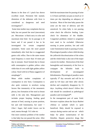

*Basma* in the dose of 1 pinch has shown excellent result. Persistent bile stained, distention of the abdomen with fever is considered as dangerous and need investigation $^{12}$ .

Some time mother may complaints that my baby has not passed the stool (meconium) yet. Meconium is black tarry in color and maximum time limit for its passage is 24 hours and if not passed it has to be investigated for certain congenital anomalies. Some cases the stool passed immediately after feed due to exaggerated gastro colic reflux. Due to the same reason stool frequency is more than 10 times per day in neonate. Stool formed due to breast milk consumption is golden yellow color while that of cows milk light golden yellow colour. Stool with lot of flatus suggestive of areophagia<sup>13</sup>.

Mean while mother complaints of constipation in new born. Constipation is also quite common in newborn owing factors like immaturity of the mesenteric plexus, less formation of the stool as breast milk is the only diet. Management part includes proper burping, feeding good amount of feed, nursing in prone position, hot and cold fomentation, *hot water + Ghee+ Sugar, Soft tender leaves* can be used, enema through N.G tube etc.

One more common problem of the mother is that baby has not passed the urine. After

 $\mathcal{L}_\mathcal{L}$  , and the contribution of the contribution of the contribution of the contribution of the contribution of the contribution of the contribution of the contribution of the contribution of the contribution of

birth the maximum time for passing of urine is 12 hours and baby can pass as much as 12 times per day depending on adequacy of lactation. Most of the time baby passes the urine yet the time of delivery and left unnoticed. So when baby is not passing urine check the effective feeding. Later check for distention of the bladder. Congenital problems related to urogenital tract need to be excluded. Otherwise nursing in prone position, hot and cold water fomentation leads to passing of urine. Physiological jaundice where child develop the yellowish discolourization of the sclera and the whole body is also one of the major concern for mother. Destruction of the fetal hemoglobin and immaturity of the liver to conjugate the bilirubin leads to development of unconjugated bilirubinemia. Physiological jaundice starts typically 3rd day onwards and will be in peak by 6-8 days and there after slowly decline and completely disappears by 15 days. Anything which doesn't follow this rule should be considered as pathological jaundice and investigated**<sup>14</sup>** .

In the management part of same *Vedic literature* explains about the *Surya Rashmi chikista* or sunbath which is quite beneficial. Baby should be exposed to sunrays during sunrise and sun set which helps for photo isomerisation of the biluribin. Hepatic protective drugs like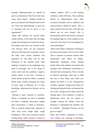

*Amalaki, Bhumatamalaki* etc should be given as immaturity of the liver is the main cause. More liquid / feeding should be given as it dissolve the bilirubin and excrete out. Nowa day'sphototherapy is main key in treatment and can be given as per requirement<sup>15</sup>.

Many time mothers are worried about certain reflexes of the baby like hiccough, cough and sneezing and consult the doctor. But mother need not to be worried in this case because these are the protective reflexes of the body and its presence secure the baby from certain problems like aspiration etc and baby will be safe. Distention of the stomach (after feed) leading to irritation of the diaphragm may leads to hiccough. One or two drops of warm water cures the condition. Cough is usually absent in just born. Yawning is which another protective reflex is common before sleep. Anyhow Burping, few drops of warm water is sufficient. If it is more disturbing- *Mayurapiccha bhasma* can be given<sup>16</sup>.

Jittering is quite common in newborn. Jittery or tremulous on touch or handling the baby is rhythmic, paroxysms, sudden jerky movements is called as jitteriness. This is common during bath, exposure to cold, loud noise, bright light, rough handling etc. This is less common in breast feeding Infant while common in infant of diabetic mothers. This is a self limiting condition, within 48 hours. This condition should be differentiated from other convulsive disorders and no sedatives and anticonvulsants should be given. This is quite common first few days of the life and should not be over treated. This is decreased by passive movements, increased by handling, light etc. If the condition is not resolved in few days if not investigated for other pathologies $^{17}$ .

Many time mother complaints of feeling of hot body and presence of fever to her child. This is common in summer months when temperature rises above 45 degree. Meanwhile inadequate breast feeding further adds to this problem associated with improper heat distribution mechanism of newborn due to immaturity. This is not due to infective pathology rather due to fluid loss due to heat<sup>.</sup> Many time babie sare playful but head is so hot. Management includes, adequate feeding and release all clothing and keep the baby cool beneath the fan /cooler and give excess fluid, check the feeding again. This condition is called as dehydration fever. Do not expose to sunlight Console the mother. Once the hydration is maintained this problem will be resolved. *Shadanga Paneeya* can be given in drops $18$ .

Many time mother complaints of Sticky eyes without any watering of discharge.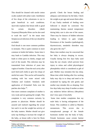

This should be cleaned with sterile cotton swabs soaked with saline water. Instillation of few drops of the colostrums to eye is quite beneficial in such conditions. *Ayurveda* explains that breast milk is good for certain disorders (*Akshi Tarpana).Dhanyaka Hima* can be also used to wash the eyes<sup>19</sup>. In the mean time Streptococcal infection of the eye should be excluded.

Oral thrush is one more common problem in neonates. This is quite common in more common in bottle-fed babies. Some time it may leads to Candida infection. This may leads to white pacts in cheeks, tongue and roof of the mouth. This infection may be transmitted from infection of yeast into vagina of mother. Clean the oral cavity after each feed (soft cloth) or give few drops of sterile hot water. This can be well treated by washing with hot water mixed with *Tankana and Godanti*. Similarly mild application of *Erimedadi Talia* over the patches also helps <sup>20</sup>.

One more common complaint of mother is very weak and not gaining the weight. This complaint is very common curiosity by parents to physician. Mother should be assured and realized regarding the actual fact and it is not the weight but activity of the baby matters. Mother should not give early top feeding to increase the weight of the baby, as breast milk is best for Brain

 $\mathcal{L}_\mathcal{L}$  , and the contribution of the contribution of the contribution of the contribution of the contribution of the contribution of the contribution of the contribution of the contribution of the contribution of

growth. Cheek the breast feeding and adequacy and tolerance by the baby. Check the weight as per age and assure them other. If any Faulty methods of feeding were followed it should be corrected. Not maintaining thermo neutral temperature during baby care is also one of the causes. There may be chances of hidden infection leading to failure to gain weight. Persistence of the Jaundice (pathological), thyrotoxicosis, metabolic disorders may also gives the clue<sup>21</sup>.

Many time mothers may be concerned that her baby is always sleeping in excess. Usually during first few days baby used keep the eye closed, which prevent from injury to retina and called physiological photophobia which is considered as gift of god. Mother may mistaken this has sleep. Mean time while feeding after few sucking baby may slip in to sleep and need to be awakened by taping the sole gently and mother may mistake this as sleeping. First few days baby may sleep if mother as taken any sedatives before delivery (*Morphine*) don't tries open it forcefully.

Some time mother complaints that my male baby is having enlargement of the breast. This condition is called as Mastitis neonatorum. This occurs due to transplacental passage of the female hormones mother into the body of baby. Female hormones cause certain famine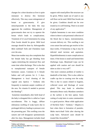

changes for a short duration as liver is quite immature to destroy this hormone effectively. This may cause enlargement of breast or gynecomastia. If give metaclopramide to the baby this may aggravate the condition. Management of gynecomastia does not try to squeeze the breast which leads to complications. Treatment of it Local fomentation by using *Pata Sweda* should be given. Mild local massage should be done by *Ashwagandha Bala Lakshadi Taila* and *Chandana Lepa* over the area.

Mean time mother may also complaints that her female baby has got bleeding from vagina mimicking the menstrual flow and some time white discharge. This is also due to transplacental transport of female hormones causes. Common in <sup>1</sup>/<sub>4</sub> female babies and will persists for 2- 3 days. Management is local cleaning of the vaginal area *Spatica + Tankana Jala* frequently to maintain aseptic condition of the area. No vitamin K needed to prevent the bleeding<sup>22</sup>.

Sometime immediately after birth head of the baby is elongated this is called as Caput succedaneum. This is boggy, diffuse edematous swelling of scalp layers due to prolonged delivery leading to pressure over the presenting part. This swelling cross the sutures and will disappears spontaneously after few days. Management includes head

 $\mathcal{L}_\mathcal{L}$  , and the contribution of the contribution of the contribution of the contribution of the contribution of the contribution of the contribution of the contribution of the contribution of the contribution of

support with round pillow like structure can be given. Pillow made out of sand or any soft flour can be used. Mild *Pata Sweda* can be given. Condition should not be over treated as it is self limiting. There is no need of any application<sup>23</sup>.

Cephalo hematoma is one more condition where in there is sub periosteal collection of the blood due to Injury, instrumentation, vacuum delivery etc. This swelling is not cross suture line and may get resolve in few days-weeks. If hematoma is big it may be infected need incision and aspiration. Hyperbilirubinemia is main complication at times. If the lesion is small and limited then *Dashanga Lepa*, *Manjistadi Lepa* can be applied with caution and care should be taken as skin is very soft $24$ .

One more common problem of mother is dandruffs of the baby. This is also called as cradle cap due to crusting over the scalp. This is due to causes related to hygiene, collected sweat and blockage of sweat gland. This may leads to seborrhea dermatitis.Hence early *Mundana samskara*  at the earliest is the best option. Early cutting of scalp hairs in some communities is a good practice. Mean while application of *Narikela Taila + Tankana + Shaptica* is best when there is formation of pustules. *Maha maricchadi Taila* after shaving the scalp hairs. Advanced cases should be treated like *Arumshika*<sup>25</sup> *.*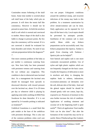

Craniotabes means Softening of the skull bones. Some time mother is worried about soft skull bone of the baby which pits on pressure. It will show the tennis ball like consistency. However it should not be pressed at suture lines. At birth the newborn skull is soft which is normal and convinced to mother. Hence shape of the skull is also liable to change in pressure points. By few days the consistency will be normal. If it is not corrected it should be evaluated for bone disorders and rickets. No need of any calcium preparations before the diagnosis $26$ -27 .

One more common problem of the baby as per mother is continuous watering from eye. New born baby has been presented with persistent wetness and watering from the eye without any congestion. This condition is due to obstructed naso lacrimal duct. As a management the lacrimal area should be massaged from upwards to downward direction with inward pressure over the lacrimal sac, about 15 to 20 times per day or whenever child is playing by applying some mild, soothing oil.Mild *Pata Sweda*can be done thereafter. If it is not opened by 3-4 months probing is indicated as treatment $^{28}$ .

Umbilical Granuloma is a small flesh like pale nodule at the base of the umbilicus with persistent discharge. This is also one of the common problems when cord care

 $\mathcal{L}_\mathcal{L}$  , and the contribution of the contribution of the contribution of the contribution of the contribution of the contribution of the contribution of the contribution of the contribution of the contribution of

was not proper. Unhygienic conditions around the umbilical stump, and recurrent infections of the stump may leads to this problem. As a treatment cauterization by silver nitrate/common salt can be done. Daily application can be repeated for 3-4 days till the base is dry. Local sepsis should be prevented by antiseptic powder. Instillation of the common salt is more useful. Mean while any *Kshara*  preparations can be successfully used. Any *Kshara* preparation like *Spatica, Tankan* is good. Even cleaning with *Tankana /*  Spatica jala can be helpful<sup>29</sup>.

Sore buttock and napkin rash is one more commonly encountered problem. Use of nylon and tight plastic napkins which are not frequently changed are the basic cause. Usually the frequency of defecation is more in newborn and delay in changing the napkins leads to redness, indurations, excoriation-ammonia cal dermatitis over the soft, delicate skin of the baby. Anal and the gluteal region should be should be cleaned gently with wet cotton, kept dry, exposed to air. Presences of moisture in this area further increase the risk of condition. Application of soothing ointment and coconut oil in the beginning itself is quite useful<sup>30</sup>. Thick oil application/ *Yasti madhu Taila* can be also done<sup>31</sup>. But after the formation of the wound this may not be so useful. Hence *Pittaharadrugs* like *Godanti,*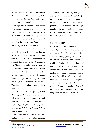*Praval, Muktha + Yashada basma*with *Ropana drugs* like Madhu *or Jathyadi taila* is useful. *Rasanjana or Puspa anjana* are useful Zinc preparations $32$ .

Toxic erythema or urticaria neonatorum is most common problem in the newborn baby. This will be presented with erythmatous rash with central pallor all over the body which starts second and 3rd day of the life. Rashes start from the face and then spread to the trunk and extremities and disappear spontaneously within 3-4 days. Exact cause is not known but an atopic and allergic cause has been predicted<sup>33</sup>. This will be exaggerated by nylon clothing's, dirty cloths. Of course it s a self limiting but still a matter of concern for mother. Avoid new cloth before washing avoid synthetic cloths and cotton wearing should be encouraged. *Nimba Patra Kashaya* for bathing or mild smearing over the body gives good results. Traditionally application of breast milk is also done<sup>34</sup>.

Some babies present with peeling of the skin may be due to drying effects after delivery which is common in post term and some of the term babies<sup>35</sup>. Application of the liquid paraffin, *Olive oil, Ashwagandha bala Lakshadi Taila, Yastimadhu Taila* is good to prevent this  $36$ .

Some other minor problem are sub conjunctival hemorrhage, cutis marmorata

 $\mathcal{L}_\mathcal{L}$  , and the contribution of the contribution of the contribution of the contribution of the contribution of the contribution of the contribution of the contribution of the contribution of the contribution of

,Mongolian blue spot Epstein pearls, sucking callosities, congenital teeth, tongue tie, non retractable prepuce, congenital hydrocele, hymnals tags, sacral dimple, prominent xiphi-sternum, bowed legs, umbilical hernia, harlequin color change, sub cutaneous hemorrhage, milia, acne neonatorum, stoke bites etc $37$ .

## **CONCLUSION**

Hence it can be concluded that most of the neonatal problems due to which the parents are concerned much and seek medical advice is due to physiological immaturity, adjustment problems and failure to establish feeding, faulty methods of feeding, anxiety by parents, over consciousness, transplacental hormones of mother and certain exaggerated reflexes. Most of the problems will be gets resolved in due course of time without causing much disturbances in the growth pattern of the child. However certain *Ayurvedic medications* can be very well used which is baby friendly to get the quick results.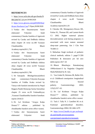

#### **REFERENCES**

1. [https://www.ncbi.nlm.nih.gov/books/N](about:blank) [BK326679/7:10](about:blank) pm/20/08/2020

2. https://www.glowm.com/pdf/EBWHeal thcare-Newborn-Care7:35pm;20/08/2020

3. Vaidya shri Satyanarayana Sastri elaborated Vidyotini hindi commentary:Charaka Samhita of Agnivesh revised by Caraka and Drdhbala chikitsa sthan chapter 26 verse no.180 Varanasi Chaukhambha Bharti Academy:reprint2011,750

4. Vaidya shri Satyanarayana Sastri elaborated Vidyotini hindi commentary:Charaka Samhita of Agnivesh revised by Caraka and Drdhbala chikitsa sthan chapter 28 verse no104 Varanasi Chaukhambha Bharti

Academy:reprint2011,796

5. Sri Satyapala Bhishgacharya(editor) hindi commentary:Vidyotini-Kasyapa Samhita of Vrddha Jivaka revised by Vatsya with Sanskrit introduction by Nepal Rajguru Pandit Hemaraja Sarma Sutrasthan chapter 25 verse no.39 Vedanadhyyay ,Varanasi Chaukhambha Sanskrit Sansthan: reprint 2018;53

6. Dr. Lal Krishnan "Arogya Kalpa Druma" $1<sup>st</sup>$  edition , published by choukhamba Sanskrit series office varansi. 7. Vaidya shri Satyanarayana Sastri elaborated Vidyotini hindi

commentary:Charaka Samhita of Agnivesh revised by Caraka and Drdhbala Sutra sthan chapter 4 verse no.49 Varanasi Chaukhambha Bharti Academy:reprint2011,93

8. Cheruku SR, Montgomery-Downs HE, Farkas SL, Thoman EB, and Lammi-Keefe CJ. 2002. Higher maternal plasma docosahexaenoic acid during pregnancy is associated with more mature neonatal sleep-state patterning. Am J Clin Nutr 76:608-13

9. Meharban Singh textbook of pediatric clinical methods; edition 5 ;page17:CBS Publishers & distrusters pvt ltd new dehli:reprint 2017-18

10. Bharat Bhaishajya Ratnakar(aug 1999)volume1-5 by Nagindas Chaganlal Shah,Published by B. Jain.

11. Van Ginkel R, Reitsma JB, Buller HA, et al. Childhood constipation: longitudinal follow-up beyond puberty. Gastroenterology. 2003; 125(2):357–63.

12. Dr. Lal Krishnan "Arogya Kalpa Druma" $1<sup>st</sup>$  edition, published by choukhamba Sanskrit series office varansi. 13. Tack J. Tally N. J. Camilleri M. et al. Funtional gastroduodenal disorders. Gastroenterology.2006;130:1466-1479

14. [https://www2.health.vic.gov.au/hospit](about:blank) [als-and-health-services/patient](about:blank)[care/perinatal-reproductive/neonatal-](about:blank)